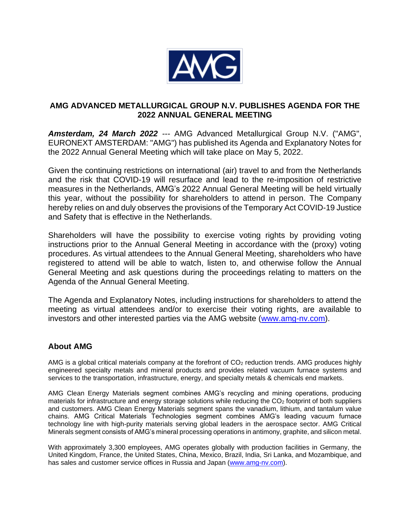

## **AMG ADVANCED METALLURGICAL GROUP N.V. PUBLISHES AGENDA FOR THE 2022 ANNUAL GENERAL MEETING**

*Amsterdam, 24 March 2022 ---* AMG Advanced Metallurgical Group N.V. ("AMG", EURONEXT AMSTERDAM: "AMG") has published its Agenda and Explanatory Notes for the 2022 Annual General Meeting which will take place on May 5, 2022.

Given the continuing restrictions on international (air) travel to and from the Netherlands and the risk that COVID-19 will resurface and lead to the re-imposition of restrictive measures in the Netherlands, AMG's 2022 Annual General Meeting will be held virtually this year, without the possibility for shareholders to attend in person. The Company hereby relies on and duly observes the provisions of the Temporary Act COVID-19 Justice and Safety that is effective in the Netherlands.

Shareholders will have the possibility to exercise voting rights by providing voting instructions prior to the Annual General Meeting in accordance with the (proxy) voting procedures. As virtual attendees to the Annual General Meeting, shareholders who have registered to attend will be able to watch, listen to, and otherwise follow the Annual General Meeting and ask questions during the proceedings relating to matters on the Agenda of the Annual General Meeting.

The Agenda and Explanatory Notes, including instructions for shareholders to attend the meeting as virtual attendees and/or to exercise their voting rights, are available to investors and other interested parties via the AMG website [\(www.amg-nv.com\)](http://www.amg-nv.com/).

## **About AMG**

AMG is a global critical materials company at the forefront of CO<sub>2</sub> reduction trends. AMG produces highly engineered specialty metals and mineral products and provides related vacuum furnace systems and services to the transportation, infrastructure, energy, and specialty metals & chemicals end markets.

AMG Clean Energy Materials segment combines AMG's recycling and mining operations, producing materials for infrastructure and energy storage solutions while reducing the  $CO<sub>2</sub>$  footprint of both suppliers and customers. AMG Clean Energy Materials segment spans the vanadium, lithium, and tantalum value chains. AMG Critical Materials Technologies segment combines AMG's leading vacuum furnace technology line with high-purity materials serving global leaders in the aerospace sector. AMG Critical Minerals segment consists of AMG's mineral processing operations in antimony, graphite, and silicon metal.

With approximately 3,300 employees, AMG operates globally with production facilities in Germany, the United Kingdom, France, the United States, China, Mexico, Brazil, India, Sri Lanka, and Mozambique, and has sales and customer service offices in Russia and Japan [\(www.amg-nv.com\)](http://www.amg-nv.com/).